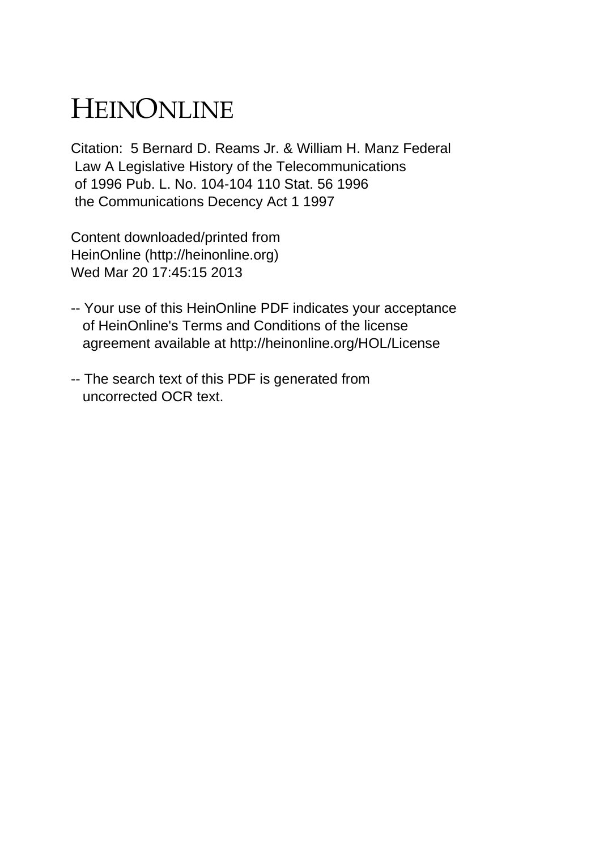## HEINONLINE

Citation: 5 Bernard D. Reams Jr. & William H. Manz Federal Law A Legislative History of the Telecommunications of 1996 Pub. L. No. 104-104 110 Stat. 56 1996 the Communications Decency Act 1 1997

Content downloaded/printed from HeinOnline (http://heinonline.org) Wed Mar 20 17:45:15 2013

- -- Your use of this HeinOnline PDF indicates your acceptance of HeinOnline's Terms and Conditions of the license agreement available at http://heinonline.org/HOL/License
- -- The search text of this PDF is generated from uncorrected OCR text.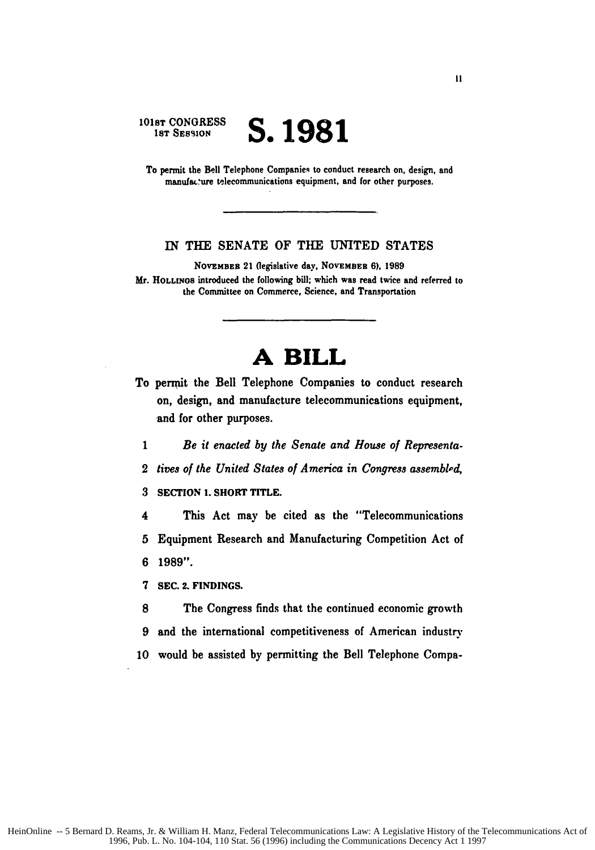**101st CONGRESS**<br>**1st Session** 

**S.1981** 

To permit the Bell Telephone Companies to conduct research on, design, and manufacture telecommunications equipment, and for other purposes.

## IN THE **SENATE** OF **THE UNITED STATES**

**NOVEMBEB** 21 (legislative day, **NOVEMBER 6), 1989** Mr. **HOLLINOS** introduced the following bill; which was read twice and referred to the Committee on Commerce, Science, and Transportation

## **A BILL**

To **permit** the Bell Telephone Companies to conduct research on, design, and manufacture telecommunications equipment, and for other purposes.

*1 Be it enacted by the Senate and House of Representa-*

2 *tives of the United States of America in Congress assemblod,*

**3 SECTION 1. SHORT TITLE.**

4 This Act may be cited as the "Telecommunications 5 Equipment Research and Manufacturing Competition Act of **6 1989".**

**7 SEC.** 2. **FINDINGS.**

**8** The Congress finds that the continued economic growth **9** and the international competitiveness of American industry

**10** would be assisted **by** permitting the Bell Telephone Compa-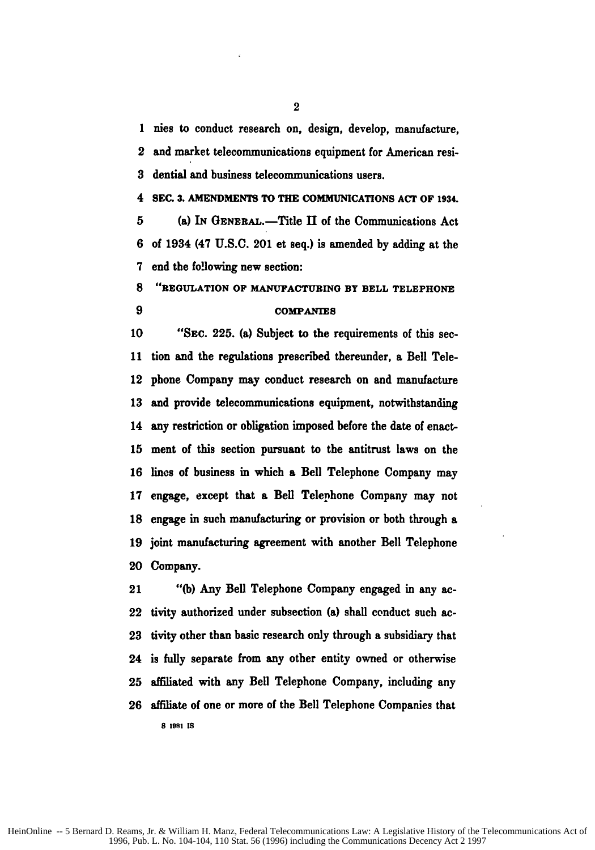nies to conduct research on, design, develop, manufacture, 2 and market telecommunications equipment for American resi-dential and business telecommunications users.

**SEC. 3. AMENDMENTS** TO THE **COMMUNICATIONS ACT** OF 1934.

(a) IN GENERAL.-Title **I1** of the Communications Act of 1934 (47 **U.S.C.** 201 et seq.) is amended **by** adding at the end the folowing new section:

**8 "REGULATION** OF **MANUFACTURING BY BELL TELEPHONE 9 COMPANIES**

"SEC. **225.** (a) Subject to the requirements of this sec-tion and the regulations prescribed thereunder, a Bell Tele-12 phone Company may conduct research on and manufacture and provide telecommunications equipment, notwithstanding 14 any restriction or obligation imposed before the date of enact-ment of this section pursuant to the antitrust laws on the lines of business in which a Bell Telephone Company may engage, except that a Bell Telephone Company may not engage in such manufacturing or provision or both through a joint manufacturing agreement with another Bell Telephone 20 Company.

**"(b)** Any Bell Telephone Company engaged in any ac-22 tivity authorized under subsection (a) shall conduct such **ac-**tivity other than basic research only through a subsidiary that 24 is **fully** separate from any other entity owned or otherwise affiliated with any Bell Telephone Company, including any affiliate of one or more of the Bell Telephone Companies that **8 1981 is**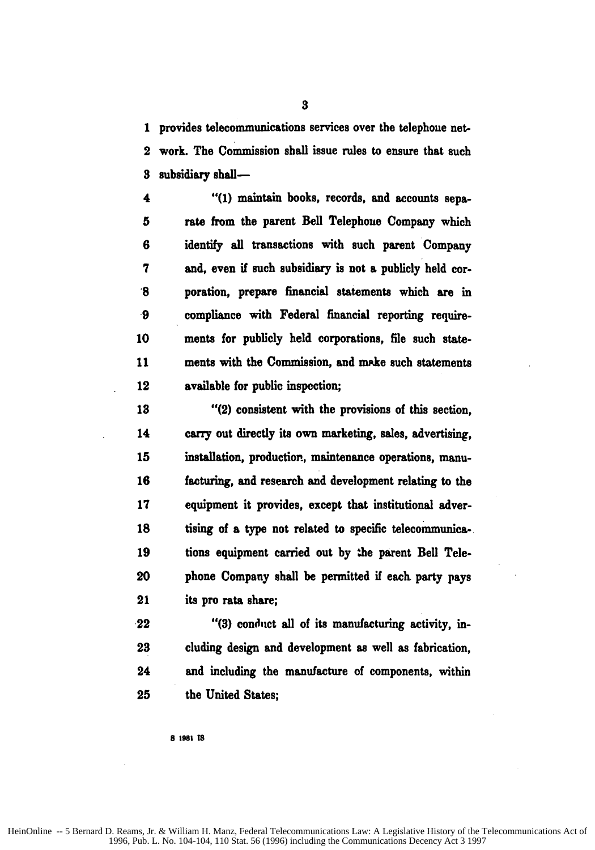provides telecommunications services over the telephone net-2 work. The Commission shall issue rules to ensure that such subsidiary shall-

**"(1)** maintain books, records, and accounts sepa-rate from the parent Bell Telephone Company which identify all transactions with such parent Company and, even if such subsidiary is not a publicly held cor- **\*8** poration, prepare financial statements which are in compliance with Federal financial reporting require-ments for publicly held corporations, file such state-ments with the Commission, and make such statements 12 available for public inspection;

"(2) consistent with the provisions of this section, 14 carry out directly its own marketing, **sales,** advertising, installation, production, maintenance operations, manu-facturing, and research and development relating to the equipment it provides, except that institutional adver-tising of a type not related **to** specific telecommunica-tions equipment carried out **by** the parent Bell Tele-20 phone Company shall be permitted if each party **pays** 21 its pro rata share;

**"(3)** conduct all of its manufacturing activity, in-23 cluding design and development as well as fabrication, 24 and including the manufacture of components, within the United States;

**a 1981 K8**

HeinOnline -- 5 Bernard D. Reams, Jr. & William H. Manz, Federal Telecommunications Law: A Legislative History of the Telecommunications Act of 1996, Pub. L. No. 104-104, 110 Stat. 56 (1996) including the Communications Decency Act 3 1997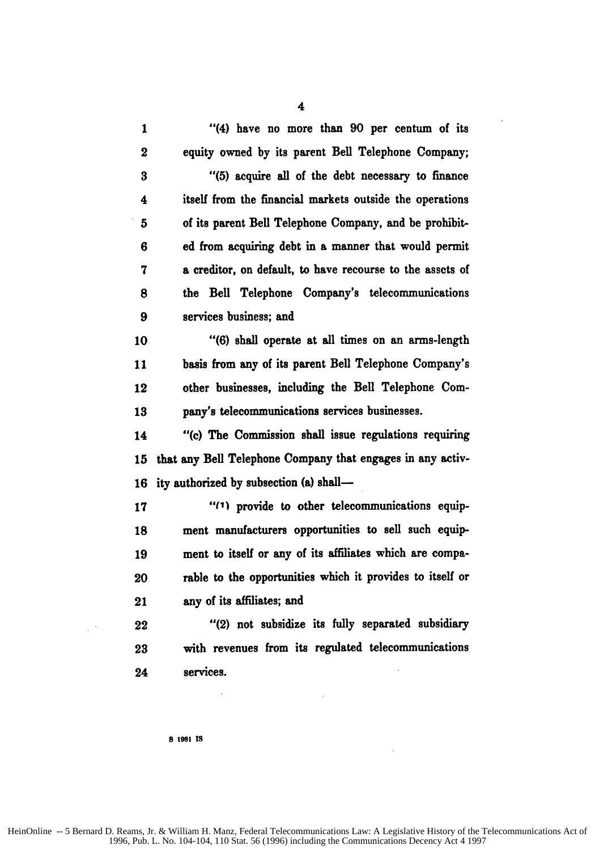| 1                | "(4) have no more than 90 per centum of its                |
|------------------|------------------------------------------------------------|
| $\boldsymbol{2}$ | equity owned by its parent Bell Telephone Company;         |
| 3                | "(5) acquire all of the debt necessary to finance          |
| 4                | itself from the financial markets outside the operations   |
| 5                | of its parent Bell Telephone Company, and be prohibit-     |
| 6                | ed from acquiring debt in a manner that would permit       |
| 7                | a creditor, on default, to have recourse to the assets of  |
| 8                | the Bell Telephone Company's telecommunications            |
| 9                | services business; and                                     |
| 10               | "(6) shall operate at all times on an arms-length          |
| 11               | basis from any of its parent Bell Telephone Company's      |
| 12               | other businesses, including the Bell Telephone Com-        |
| 13               | pany's telecommunications services businesses.             |
| 14               | "(c) The Commission shall issue regulations requiring      |
| 15               | that any Bell Telephone Company that engages in any activ- |
| 16               | ity authorized by subsection (a) shall-                    |
| 17               | "(1) provide to other telecommunications equip-            |
| 18               | ment manufacturers opportunities to sell such equip-       |
| 19               | ment to itself or any of its affiliates which are compa-   |
| 20               | rable to the opportunities which it provides to itself or  |
| 21               | any of its affiliates; and                                 |
| 22               | "(2) not subsidize its fully separated subsidiary          |
| 23               | with revenues from its regulated telecommunications        |
| 24               | services.                                                  |

**a 1981 IS**

 $\sim 10^{-11}$ 

 $\mathcal{L}_{\mathrm{L}}(\mathcal{F})$ 

HeinOnline -- 5 Bernard D. Reams, Jr. & William H. Manz, Federal Telecommunications Law: A Legislative History of the Telecommunications Act of 1996, Pub. L. No. 104-104, 110 Stat. 56 (1996) including the Communications Decency Act 4 1997

 $\mathcal{L}$ 

 $\mathbf{r}$ 

4

 $\ddot{\phantom{a}}$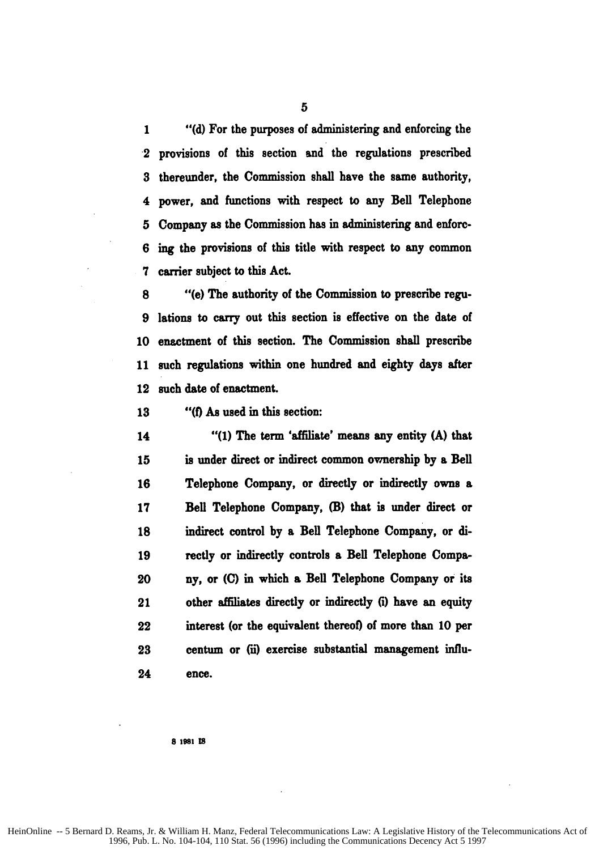**1 "(d)** For the purposes of administering and enforcing the 2 provisions of this section and the regulations prescribed **3** thereunder, the Commission shall have the same authority, 4 power, and functions with respect to any Bell Telephone **5** Company as the Commission has in administering and enforc-**6** ing the provisions of this title with respect to any common **7** carrier subject to this Act.

"(e) The authority of the Commission to prescribe regu-lations to carry out this section is effective on the date of enactment of this section. The Commission shall prescribe such regulations within one hundred and eighty days after 12 such date of enactment.

**13 "(f) As** used in this section:

14 **"(1)** The term 'affiliate' means any entity **(A)** that **15** is under direct or indirect common ownership **by** a Bell **16** Telephone Company, or directly or indirectly owns a **17** Bell Telephone Company, (B) that is under direct or **18** indirect control **by** a Bell Telephone Company, or di-**19** rectly or indirectly controls a Bell Telephone Compa-20 ny, or **(C)** in which a Bell Telephone Company or its 21 other affiliates directly or indirectly **(1)** have an equity 22 interest (or the equivalent thereof) of more than **10** per 23 centum or (ii) exercise substantial management influ-24 ence.

## **8 1981 Is**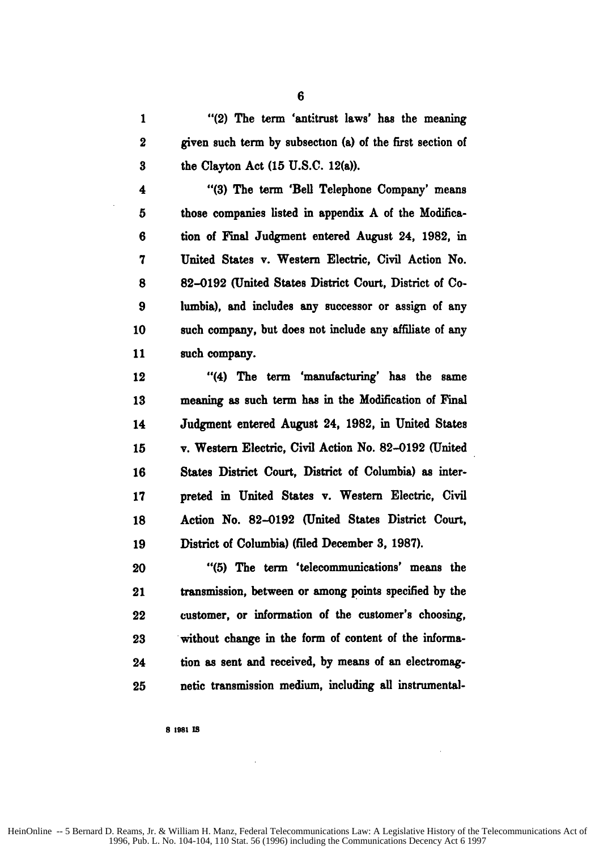"(2) The term 'antitrust laws' has the meaning 2 given such term **by** subsection (a) of the first section of the Clayton Act **(15 U.S.C.** 12(a)).

**"(3)** The term 'Bell Telephone Company' means those companies listed in appendix **A** of the Modifica-tion of Final Judgment entered August 24, **1982,** in United States v. Western Electric, Civil Action No. **8 82-0192** (United States District Court, District of Co-lumbia), and includes any successor or assign of any such company, but does not include any affiliate of any such company.

12 "(4) The term 'manufacturing' has the same meaning as such term has in the Modification of Final 14 Judgment entered August 24, **1982,** in United States v. Western Electric, Civil Action No. **82-0192** (United States District Court, District of Columbia) as inter-preted in United States v. Western Electric, Civil Action No. **82-0192** (United States District Court, District of Columbia) (filed December **3, 1987).**

**"(5)** The term 'telecommunications' means the 21 transmission, between or among points specified **by** the 22 customer, or information of the customer's choosing, without change in the form of content of the informa-24 tion as sent and received, **by** means of an electromag-netic transmission medium, including all instrumental-

**a 1981 is**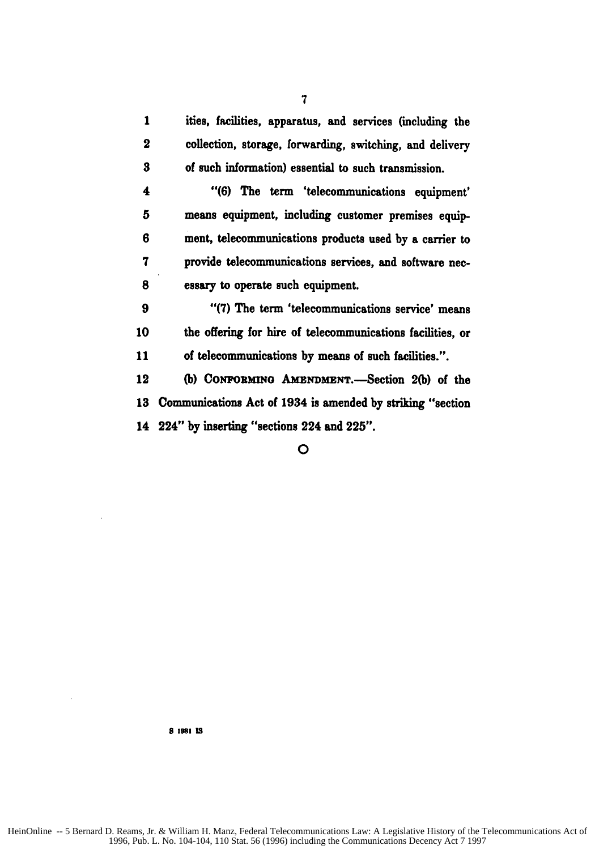ities, facilities, apparatus, and services (including the 2 collection, storage, forwarding, switching, and delivery of such information) essential to such transmission.

**"(6)** The term 'telecommunications equipment' means equipment, including customer premises equip-ment, telecommunications products used **by** a carrier to provide telecommunications services, and software **nec-**essary to operate such equipment.

**9 "(7)** The term 'telecommunications service' means the offering for hire of telecommunications facilities, or of telecommunications **by** means of such facilities.".

**(b) CONFORMING AMENDMENT.**-Section 2(b) of the Communications Act of 1934 is amended **by** striking "section 14 224" **by** inserting "sections 224 and **225".**

**8 181 1**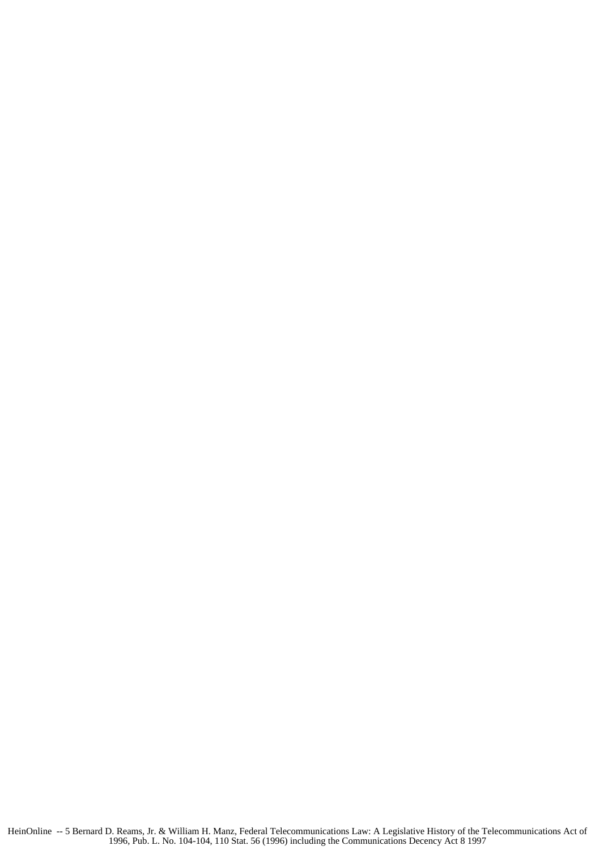HeinOnline -- 5 Bernard D. Reams, Jr. & William H. Manz, Federal Telecommunications Law: A Legislative History of the Telecommunications Act of 1996, Pub. L. No. 104-104, 110 Stat. 56 (1996) including the Communications Decency Act 8 1997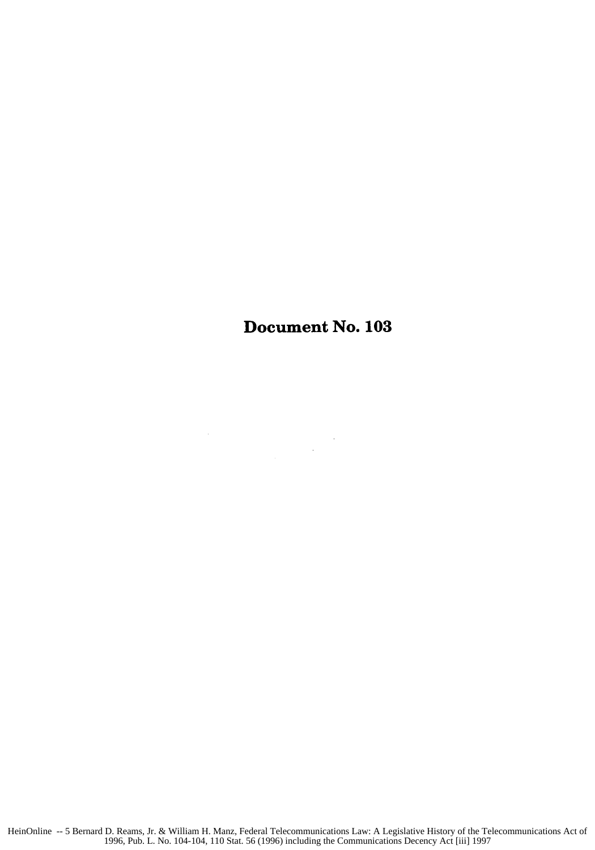Document No. **103**